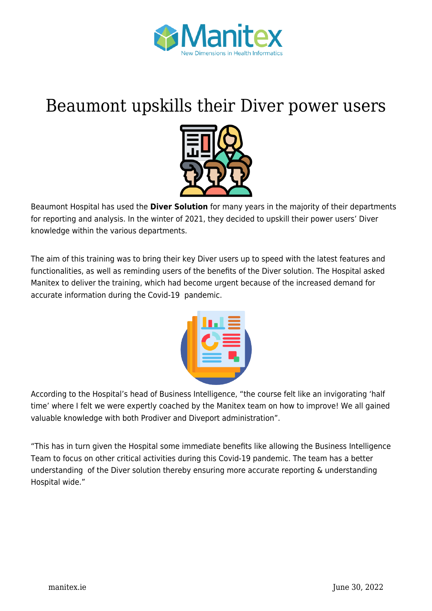

## [Beaumont upskills their Diver power users](https://manitex.ie/news/beaumont-upskills-their-diver-power-users/)



Beaumont Hospital has used the **Diver Solution** for many years in the majority of their departments for reporting and analysis. In the winter of 2021, they decided to upskill their power users' Diver knowledge within the various departments.

The aim of this training was to bring their key Diver users up to speed with the latest features and functionalities, as well as reminding users of the benefits of the Diver solution. The Hospital asked Manitex to deliver the training, which had become urgent because of the increased demand for accurate information during the Covid-19 pandemic.



According to the Hospital's head of Business Intelligence, "the course felt like an invigorating 'half time' where I felt we were expertly coached by the Manitex team on how to improve! We all gained valuable knowledge with both Prodiver and Diveport administration".

"This has in turn given the Hospital some immediate benefits like allowing the Business Intelligence Team to focus on other critical activities during this Covid-19 pandemic. The team has a better understanding of the Diver solution thereby ensuring more accurate reporting & understanding Hospital wide."